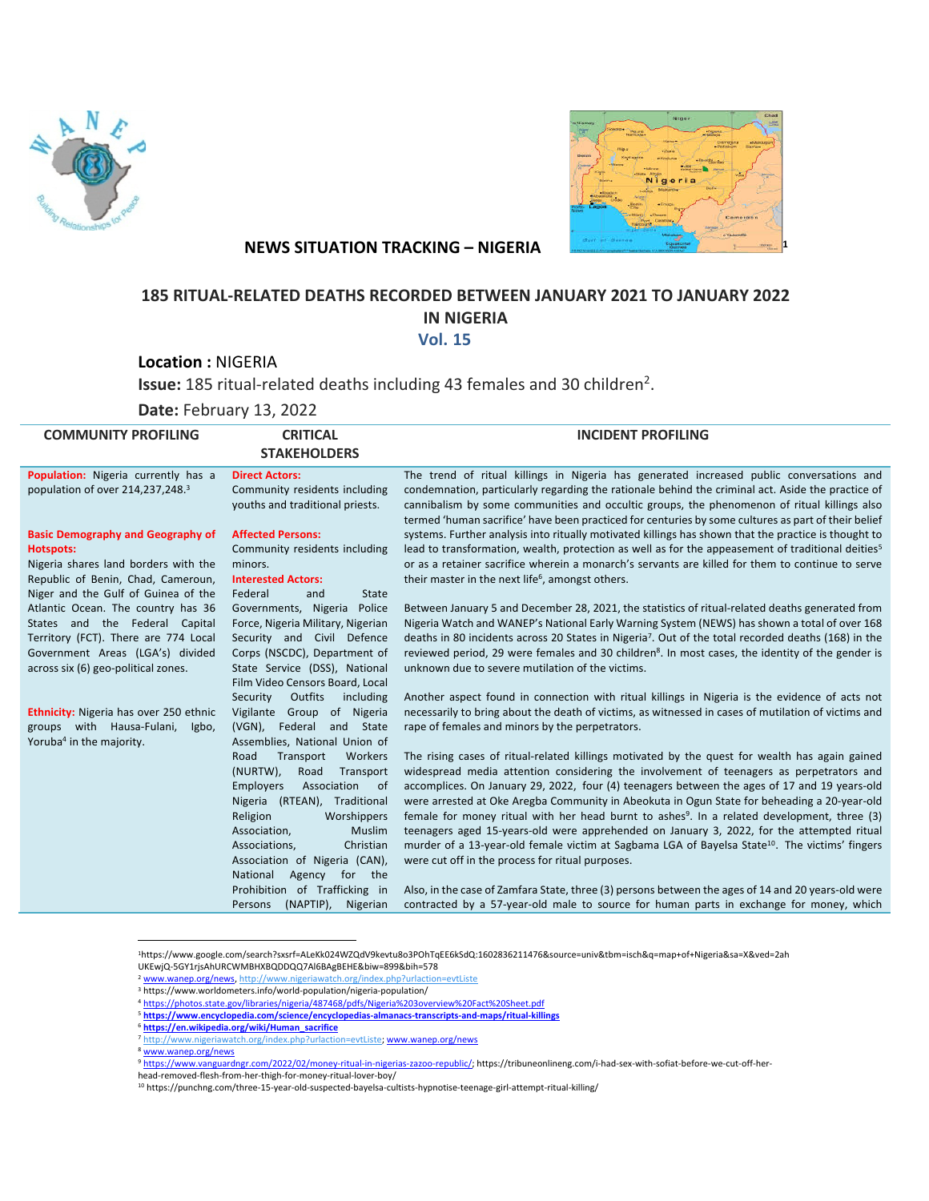



## **NEWS SITUATION TRACKING – NIGERIA**

## **185 RITUAL-RELATED DEATHS RECORDED BETWEEN JANUARY 2021 TO JANUARY 2022 IN NIGERIA**

 **Vol. 15**

**Location :** NIGERIA

Issue: 185 ritual-related deaths including 43 females and 30 children<sup>2</sup>.

**Date:** February 13, 2022

| <b>COMMUNITY PROFILING</b>                                                                                                                                                              | <b>CRITICAL</b><br><b>STAKEHOLDERS</b>                                                                                                                                                                                                              | <b>INCIDENT PROFILING</b>                                                                                                                                                                                                                                                                                                                                                                                                                                                                                                                                                                                                                                                                                                                                          |
|-----------------------------------------------------------------------------------------------------------------------------------------------------------------------------------------|-----------------------------------------------------------------------------------------------------------------------------------------------------------------------------------------------------------------------------------------------------|--------------------------------------------------------------------------------------------------------------------------------------------------------------------------------------------------------------------------------------------------------------------------------------------------------------------------------------------------------------------------------------------------------------------------------------------------------------------------------------------------------------------------------------------------------------------------------------------------------------------------------------------------------------------------------------------------------------------------------------------------------------------|
| Population: Nigeria currently has a<br>population of over 214,237,248.3                                                                                                                 | <b>Direct Actors:</b><br>Community residents including<br>youths and traditional priests.                                                                                                                                                           | The trend of ritual killings in Nigeria has generated increased public conversations and<br>condemnation, particularly regarding the rationale behind the criminal act. Aside the practice of<br>cannibalism by some communities and occultic groups, the phenomenon of ritual killings also<br>termed 'human sacrifice' have been practiced for centuries by some cultures as part of their belief                                                                                                                                                                                                                                                                                                                                                                |
| <b>Basic Demography and Geography of</b><br><b>Hotspots:</b><br>Nigeria shares land borders with the<br>Republic of Benin, Chad, Cameroun,<br>Niger and the Gulf of Guinea of the       | <b>Affected Persons:</b><br>Community residents including<br>minors.<br><b>Interested Actors:</b><br>Federal<br>State<br>and                                                                                                                        | systems. Further analysis into ritually motivated killings has shown that the practice is thought to<br>lead to transformation, wealth, protection as well as for the appeasement of traditional deities <sup>5</sup><br>or as a retainer sacrifice wherein a monarch's servants are killed for them to continue to serve<br>their master in the next life <sup>6</sup> , amongst others.                                                                                                                                                                                                                                                                                                                                                                          |
| Atlantic Ocean. The country has 36<br>States and the Federal Capital<br>Territory (FCT). There are 774 Local<br>Government Areas (LGA's) divided<br>across six (6) geo-political zones. | Governments, Nigeria Police<br>Force, Nigeria Military, Nigerian<br>Security and Civil Defence<br>Corps (NSCDC), Department of<br>State Service (DSS), National<br>Film Video Censors Board, Local                                                  | Between January 5 and December 28, 2021, the statistics of ritual-related deaths generated from<br>Nigeria Watch and WANEP's National Early Warning System (NEWS) has shown a total of over 168<br>deaths in 80 incidents across 20 States in Nigeria <sup>7</sup> . Out of the total recorded deaths (168) in the<br>reviewed period, 29 were females and 30 children <sup>8</sup> . In most cases, the identity of the gender is<br>unknown due to severe mutilation of the victims.                                                                                                                                                                                                                                                                             |
| <b>Ethnicity:</b> Nigeria has over 250 ethnic<br>groups with Hausa-Fulani,<br>Igbo,<br>Yoruba <sup>4</sup> in the majority.                                                             | Outfits<br>Security<br>including<br>Vigilante Group of Nigeria<br>$(VGN)$ ,<br>Federal and State<br>Assemblies, National Union of                                                                                                                   | Another aspect found in connection with ritual killings in Nigeria is the evidence of acts not<br>necessarily to bring about the death of victims, as witnessed in cases of mutilation of victims and<br>rape of females and minors by the perpetrators.                                                                                                                                                                                                                                                                                                                                                                                                                                                                                                           |
|                                                                                                                                                                                         | Workers<br>Road<br>Transport<br>(NURTW),<br>Road<br>Transport<br>Employers<br>Association<br>0f<br>Nigeria (RTEAN), Traditional<br>Religion<br>Worshippers<br>Association,<br>Muslim<br>Associations,<br>Christian<br>Association of Nigeria (CAN), | The rising cases of ritual-related killings motivated by the quest for wealth has again gained<br>widespread media attention considering the involvement of teenagers as perpetrators and<br>accomplices. On January 29, 2022, four (4) teenagers between the ages of 17 and 19 years-old<br>were arrested at Oke Aregba Community in Abeokuta in Ogun State for beheading a 20-year-old<br>female for money ritual with her head burnt to ashes <sup>9</sup> . In a related development, three (3)<br>teenagers aged 15-years-old were apprehended on January 3, 2022, for the attempted ritual<br>murder of a 13-year-old female victim at Sagbama LGA of Bayelsa State <sup>10</sup> . The victims' fingers<br>were cut off in the process for ritual purposes. |
|                                                                                                                                                                                         | National<br>Agency for the<br>Prohibition of Trafficking in<br>(NAPTIP),<br>Nigerian<br>Persons                                                                                                                                                     | Also, in the case of Zamfara State, three (3) persons between the ages of 14 and 20 years-old were<br>contracted by a 57-year-old male to source for human parts in exchange for money, which                                                                                                                                                                                                                                                                                                                                                                                                                                                                                                                                                                      |

1https://www.google.com/search?sxsrf=ALeKk024WZQdV9kevtu8o3POhTqEE6kSdQ:1602836211476&source=univ&tbm=isch&q=map+of+Nigeria&sa=X&ved=2ah UKEwjQ-5GY1rjsAhURCWMBHXBQDDQQ7Al6BAgBEHE&biw=899&bih=578

<sup>2</sup> www.wanep.org/news, http://www.nigeriawatch.org/index.php?urlaction=evtListe

<sup>8</sup> www.wanep.org/news

head-removed-flesh-from-her-thigh-for-money-ritual-lover-boy/

<sup>3</sup> https://www.worldometers.info/world-population/nigeria-population/

<sup>4</sup> https://photos.state.gov/libraries/nigeria/487468/pdfs/Nigeria%203overview%20Fact%20Sheet.pdf

<sup>5</sup> **https://www.encyclopedia.com/science/encyclopedias-almanacs-transcripts-and-maps/ritual-killings**

<sup>6</sup> **https://en.wikipedia.org/wiki/Human\_sacrifice**

<sup>7</sup> http://www.nigeriawatch.org/index.php?urlaction=evtListe; www.wanep.org/news

<sup>9</sup> https://www.vanguardngr.com/2022/02/money-ritual-in-nigerias-zazoo-republic/; https://tribuneonlineng.com/i-had-sex-with-sofiat-before-we-cut-off-her-

<sup>10</sup> https://punchng.com/three-15-year-old-suspected-bayelsa-cultists-hypnotise-teenage-girl-attempt-ritual-killing/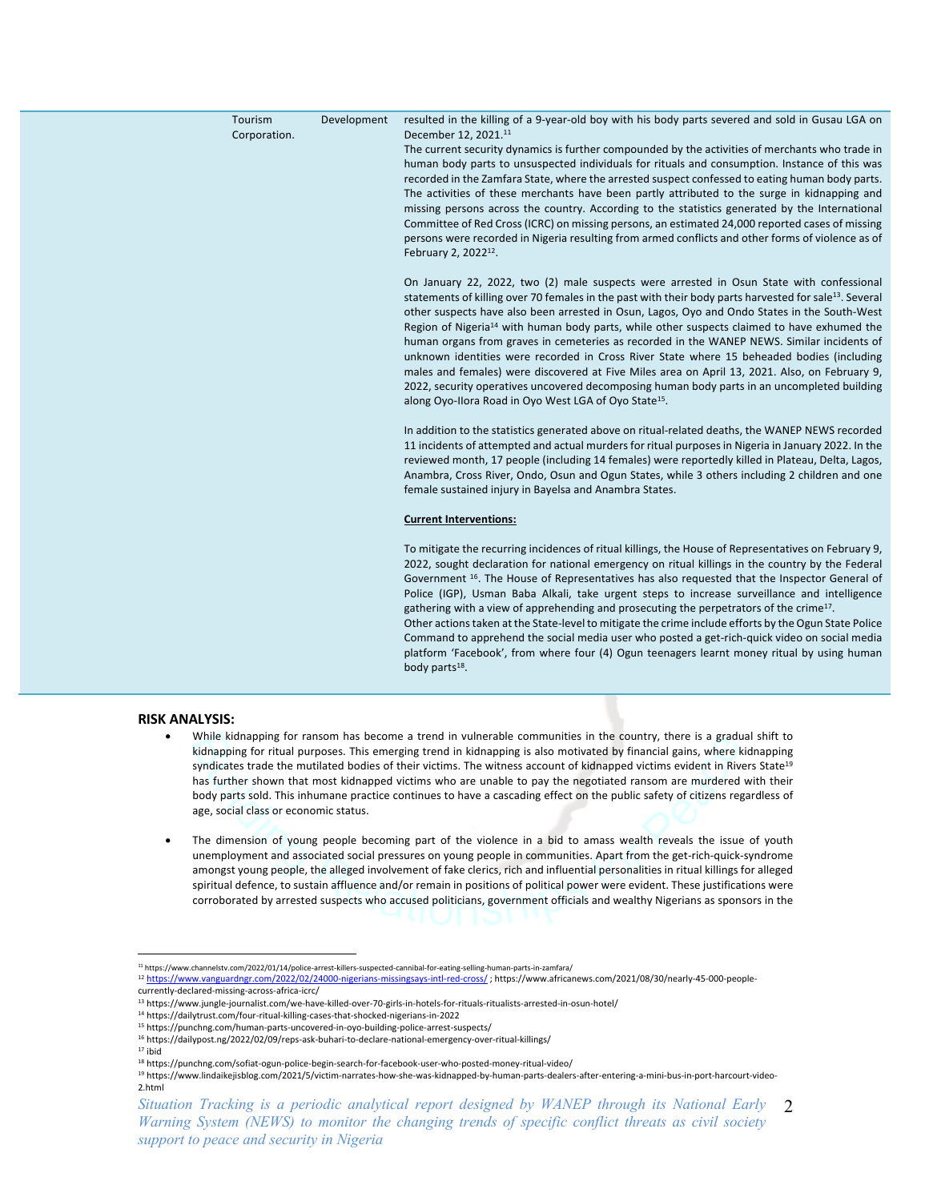| Tourism<br>Corporation. | Development | resulted in the killing of a 9-year-old boy with his body parts severed and sold in Gusau LGA on<br>December 12, 2021. <sup>11</sup><br>The current security dynamics is further compounded by the activities of merchants who trade in<br>human body parts to unsuspected individuals for rituals and consumption. Instance of this was<br>recorded in the Zamfara State, where the arrested suspect confessed to eating human body parts.<br>The activities of these merchants have been partly attributed to the surge in kidnapping and<br>missing persons across the country. According to the statistics generated by the International<br>Committee of Red Cross (ICRC) on missing persons, an estimated 24,000 reported cases of missing<br>persons were recorded in Nigeria resulting from armed conflicts and other forms of violence as of<br>February 2, 2022 <sup>12</sup> . |
|-------------------------|-------------|-------------------------------------------------------------------------------------------------------------------------------------------------------------------------------------------------------------------------------------------------------------------------------------------------------------------------------------------------------------------------------------------------------------------------------------------------------------------------------------------------------------------------------------------------------------------------------------------------------------------------------------------------------------------------------------------------------------------------------------------------------------------------------------------------------------------------------------------------------------------------------------------|
|                         |             | On January 22, 2022, two (2) male suspects were arrested in Osun State with confessional<br>statements of killing over 70 females in the past with their body parts harvested for sale <sup>13</sup> . Several<br>other suspects have also been arrested in Osun, Lagos, Oyo and Ondo States in the South-West<br>Region of Nigeria <sup>14</sup> with human body parts, while other suspects claimed to have exhumed the<br>human organs from graves in cemeteries as recorded in the WANEP NEWS. Similar incidents of<br>unknown identities were recorded in Cross River State where 15 beheaded bodies (including<br>males and females) were discovered at Five Miles area on April 13, 2021. Also, on February 9,<br>2022, security operatives uncovered decomposing human body parts in an uncompleted building<br>along Oyo-Ilora Road in Oyo West LGA of Oyo State <sup>15</sup> . |
|                         |             | In addition to the statistics generated above on ritual-related deaths, the WANEP NEWS recorded<br>11 incidents of attempted and actual murders for ritual purposes in Nigeria in January 2022. In the<br>reviewed month, 17 people (including 14 females) were reportedly killed in Plateau, Delta, Lagos,<br>Anambra, Cross River, Ondo, Osun and Ogun States, while 3 others including 2 children and one<br>female sustained injury in Bayelsa and Anambra States.                                                                                                                                                                                                                                                                                                                                                                                                                    |
|                         |             | <b>Current Interventions:</b>                                                                                                                                                                                                                                                                                                                                                                                                                                                                                                                                                                                                                                                                                                                                                                                                                                                             |
|                         |             | To mitigate the recurring incidences of ritual killings, the House of Representatives on February 9,<br>2022, sought declaration for national emergency on ritual killings in the country by the Federal<br>Government <sup>16</sup> . The House of Representatives has also requested that the Inspector General of<br>Police (IGP), Usman Baba Alkali, take urgent steps to increase surveillance and intelligence<br>gathering with a view of apprehending and prosecuting the perpetrators of the crime <sup>17</sup> .<br>Other actions taken at the State-level to mitigate the crime include efforts by the Ogun State Police<br>Command to apprehend the social media user who posted a get-rich-quick video on social media<br>platform 'Facebook', from where four (4) Ogun teenagers learnt money ritual by using human<br>body parts <sup>18</sup> .                          |

## **RISK ANALYSIS:**

- While kidnapping for ransom has become a trend in vulnerable communities in the country, there is a gradual shift to kidnapping for ritual purposes. This emerging trend in kidnapping is also motivated by financial gains, where kidnapping syndicates trade the mutilated bodies of their victims. The witness account of kidnapped victims evident in Rivers State<sup>19</sup> has further shown that most kidnapped victims who are unable to pay the negotiated ransom are murdered with their body parts sold. This inhumane practice continues to have a cascading effect on the public safety of citizens regardless of age, social class or economic status.
- The dimension of young people becoming part of the violence in a bid to amass wealth reveals the issue of youth unemployment and associated social pressures on young people in communities. Apart from the get-rich-quick-syndrome amongst young people, the alleged involvement of fake clerics, rich and influential personalities in ritual killings for alleged spiritual defence, to sustain affluence and/or remain in positions of political power were evident. These justifications were corroborated by arrested suspects who accused politicians, government officials and wealthy Nigerians as sponsors in the

<sup>15</sup> https://punchng.com/human-parts-uncovered-in-oyo-building-police-arrest-suspects/

Situation Tracking is a periodic analytical report designed by WANEP through its National Early 2 *Warning System (NEWS) to monitor the changing trends of specific conflict threats as civil society support to peace and security in Nigeria*

<sup>11</sup> https://www.channelstv.com/2022/01/14/police-arrest-killers-suspected-cannibal-for-eating-selling-human-parts-in-zamfara/

<sup>&</sup>lt;sup>12</sup> https://www.vanguardngr.com/2022/02/24000-nigerians-missingsays-intl-red-cross/; https://www.africanews.com/2021/08/30/nearly-45-000-peoplecurrently-declared-missing-across-africa-icrc/

<sup>13</sup> https://www.jungle-journalist.com/we-have-killed-over-70-girls-in-hotels-for-rituals-ritualists-arrested-in-osun-hotel/

<sup>14</sup> https://dailytrust.com/four-ritual-killing-cases-that-shocked-nigerians-in-2022

<sup>16</sup> https://dailypost.ng/2022/02/09/reps-ask-buhari-to-declare-national-emergency-over-ritual-killings/

<sup>17</sup> ibid

<sup>18</sup> https://punchng.com/sofiat-ogun-police-begin-search-for-facebook-user-who-posted-money-ritual-video/

<sup>19</sup> https://www.lindaikejisblog.com/2021/5/victim-narrates-how-she-was-kidnapped-by-human-parts-dealers-after-entering-a-mini-bus-in-port-harcourt-video-2.html